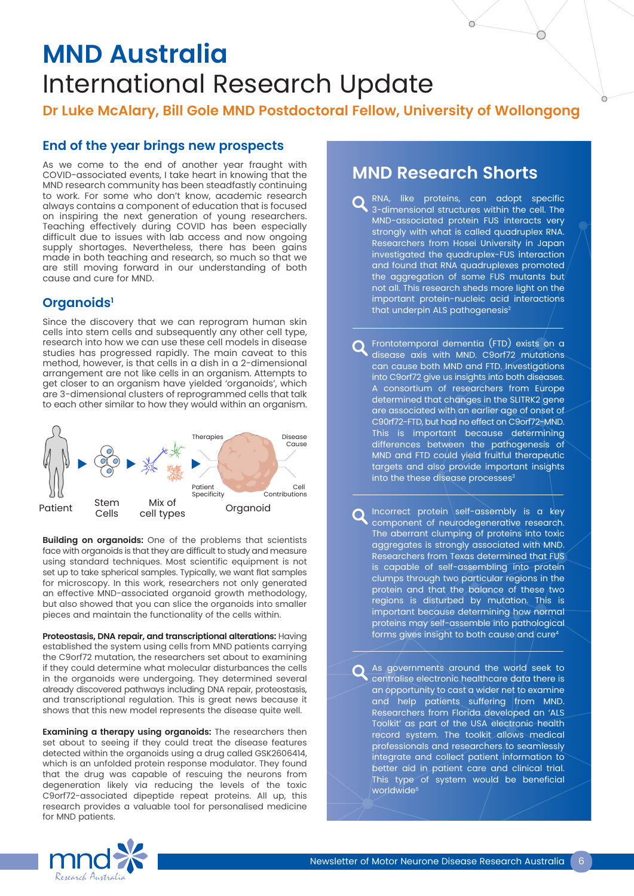# **MND Australia** International Research Update

**Dr Luke McAlary, Bill Gole MND Postdoctoral Fellow, University of Wollongong**

## **End of the year brings new prospects**

As we come to the end of another year fraught with COVID-associated events, I take heart in knowing that the MND research community has been steadfastly continuing to work. For some who don't know, academic research always contains a component of education that is focused on inspiring the next generation of young researchers. Teaching effectively during COVID has been especially difficult due to issues with lab access and now ongoing supply shortages. Nevertheless, there has been gains made in both teaching and research, so much so that we are still moving forward in our understanding of both cause and cure for MND.

## **Organoids1**

Since the discovery that we can reprogram human skin cells into stem cells and subsequently any other cell type, research into how we can use these cell models in disease studies has progressed rapidly. The main caveat to this method, however, is that cells in a dish in a 2-dimensional arrangement are not like cells in an organism. Attempts to get closer to an organism have yielded 'organoids', which are 3-dimensional clusters of reprogrammed cells that talk to each other similar to how they would within an organism.



**Building on organoids:** One of the problems that scientists face with organoids is that they are difficult to study and measure using standard techniques. Most scientific equipment is not set up to take spherical samples. Typically, we want flat samples for microscopy. In this work, researchers not only generated an effective MND-associated organoid growth methodology, but also showed that you can slice the organoids into smaller pieces and maintain the functionality of the cells within.

**Proteostasis, DNA repair, and transcriptional alterations:** Having established the system using cells from MND patients carrying the C9orf72 mutation, the researchers set about to examining if they could determine what molecular disturbances the cells in the organoids were undergoing. They determined several already discovered pathways including DNA repair, proteostasis, and transcriptional regulation. This is great news because it shows that this new model represents the disease quite well.

**Examining a therapy using organoids:** The researchers then set about to seeing if they could treat the disease features detected within the organoids using a drug called GSK2606414, which is an unfolded protein response modulator. They found that the drug was capable of rescuing the neurons from degeneration likely via reducing the levels of the toxic C9orf72-associated dipeptide repeat proteins. All up, this research provides a valuable tool for personalised medicine for MND patients.

## **MND Research Shorts**

RNA, like proteins, can adopt specific 3-dimensional structures within the cell. The MND-associated protein FUS interacts very strongly with what is called quadruplex RNA. Researchers from Hosei University in Japan investigated the quadruplex-FUS interaction and found that RNA quadruplexes promoted the aggregation of some FUS mutants but not all. This research sheds more light on the important protein-nucleic acid interactions that underpin ALS pathogenesis<sup>2</sup>

Frontotemporal dementia (FTD) exists on a disease axis with MND. C9orf72 mutations can cause both MND and FTD. Investigations into C9orf72 give us insights into both diseases. A consortium of researchers from Europe determined that changes in the SLITRK2 gene are associated with an earlier age of onset of C90rf72-FTD, but had no effect on C9orf72-MND. This is important because determining differences between the pathogenesis of MND and FTD could yield fruitful therapeutic targets and also provide important insights into the these disease processes<sup>3</sup>

Incorrect protein self-assembly is a key component of neurodegenerative research. The aberrant clumping of proteins into toxic aggregates is strongly associated with MND. Researchers from Texas determined that FUS is capable of self-assembling into protein clumps through two particular regions in the protein and that the balance of these two regions is disturbed by mutation. This is important because determining how normal proteins may self-assemble into pathological forms gives insight to both cause and cure4

As governments around the world seek to centralise electronic healthcare data there is an opportunity to cast a wider net to examine and help patients suffering from MND. Researchers from Florida developed an 'ALS Toolkit' as part of the USA electronic health record system. The toolkit allows medical professionals and researchers to seamlessly integrate and collect patient information to better aid in patient care and clinical trial. This type of system would be beneficial worldwide<sup>5</sup>